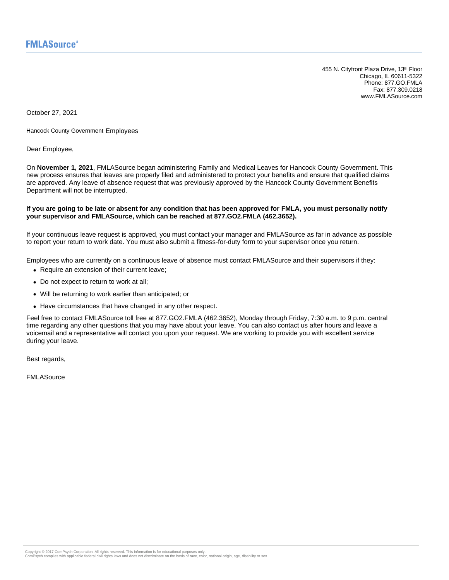455 N. Cityfront Plaza Drive, 13<sup>th</sup> Floor Chicago, IL 60611-5322 Phone: 877.GO.FMLA Fax: 877.309.0218 www.FMLASource.com

October 27, 2021

Hancock County Government Employees

Dear Employee,

On **November 1, 2021**, FMLASource began administering Family and Medical Leaves for Hancock County Government. This new process ensures that leaves are properly filed and administered to protect your benefits and ensure that qualified claims are approved. Any leave of absence request that was previously approved by the Hancock County Government Benefits Department will not be interrupted.

#### **If you are going to be late or absent for any condition that has been approved for FMLA, you must personally notify your supervisor and FMLASource, which can be reached at 877.GO2.FMLA (462.3652).**

If your continuous leave request is approved, you must contact your manager and FMLASource as far in advance as possible to report your return to work date. You must also submit a fitness-for-duty form to your supervisor once you return.

Employees who are currently on a continuous leave of absence must contact FMLASource and their supervisors if they:

- Require an extension of their current leave;
- Do not expect to return to work at all;
- Will be returning to work earlier than anticipated; or
- Have circumstances that have changed in any other respect.

Feel free to contact FMLASource toll free at 877.GO2.FMLA (462.3652), Monday through Friday, 7:30 a.m. to 9 p.m. central time regarding any other questions that you may have about your leave. You can also contact us after hours and leave a voicemail and a representative will contact you upon your request. We are working to provide you with excellent service during your leave.

Best regards,

FMLASource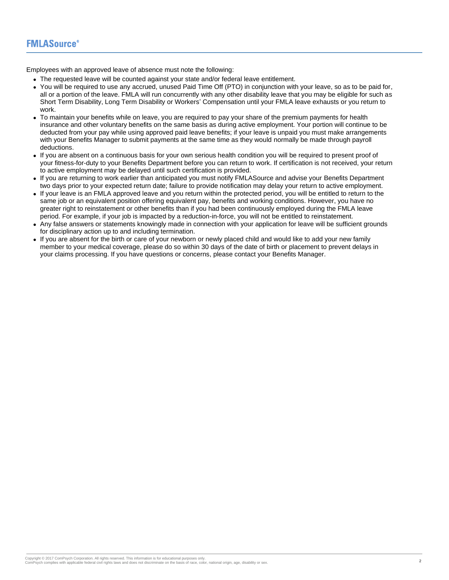Employees with an approved leave of absence must note the following:

- The requested leave will be counted against your state and/or federal leave entitlement.
- You will be required to use any accrued, unused Paid Time Off (PTO) in conjunction with your leave, so as to be paid for, all or a portion of the leave. FMLA will run concurrently with any other disability leave that you may be eligible for such as Short Term Disability, Long Term Disability or Workers' Compensation until your FMLA leave exhausts or you return to work.
- To maintain your benefits while on leave, you are required to pay your share of the premium payments for health insurance and other voluntary benefits on the same basis as during active employment. Your portion will continue to be deducted from your pay while using approved paid leave benefits; if your leave is unpaid you must make arrangements with your Benefits Manager to submit payments at the same time as they would normally be made through payroll deductions.
- If you are absent on a continuous basis for your own serious health condition you will be required to present proof of your fitness-for-duty to your Benefits Department before you can return to work. If certification is not received, your return to active employment may be delayed until such certification is provided.
- If you are returning to work earlier than anticipated you must notify FMLASource and advise your Benefits Department two days prior to your expected return date; failure to provide notification may delay your return to active employment.
- If your leave is an FMLA approved leave and you return within the protected period, you will be entitled to return to the same job or an equivalent position offering equivalent pay, benefits and working conditions. However, you have no greater right to reinstatement or other benefits than if you had been continuously employed during the FMLA leave period. For example, if your job is impacted by a reduction-in-force, you will not be entitled to reinstatement.
- Any false answers or statements knowingly made in connection with your application for leave will be sufficient grounds for disciplinary action up to and including termination.
- If you are absent for the birth or care of your newborn or newly placed child and would like to add your new family member to your medical coverage, please do so within 30 days of the date of birth or placement to prevent delays in your claims processing. If you have questions or concerns, please contact your Benefits Manager.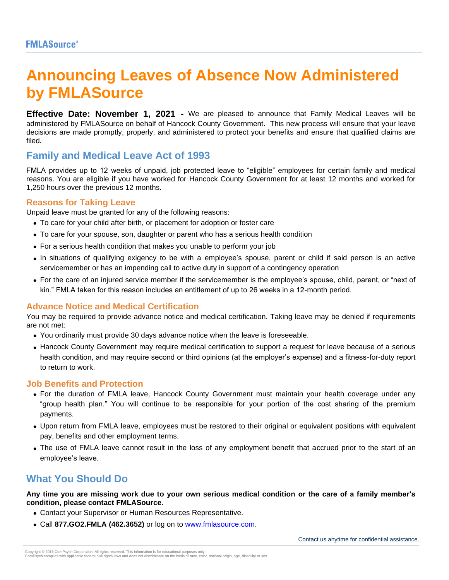# **Announcing Leaves of Absence Now Administered by FMLASource**

**Effective Date: November 1, 2021** - We are pleased to announce that Family Medical Leaves will be administered by FMLASource on behalf of Hancock County Government. This new process will ensure that your leave decisions are made promptly, properly, and administered to protect your benefits and ensure that qualified claims are filed.

# **Family and Medical Leave Act of 1993**

FMLA provides up to 12 weeks of unpaid, job protected leave to "eligible" employees for certain family and medical reasons. You are eligible if you have worked for Hancock County Government for at least 12 months and worked for 1,250 hours over the previous 12 months.

# **Reasons for Taking Leave**

Unpaid leave must be granted for any of the following reasons:

- To care for your child after birth, or placement for adoption or foster care
- To care for your spouse, son, daughter or parent who has a serious health condition
- For a serious health condition that makes you unable to perform your job
- In situations of qualifying exigency to be with a employee's spouse, parent or child if said person is an active servicemember or has an impending call to active duty in support of a contingency operation
- For the care of an injured service member if the servicemember is the employee's spouse, child, parent, or "next of kin." FMLA taken for this reason includes an entitlement of up to 26 weeks in a 12-month period.

# **Advance Notice and Medical Certification**

You may be required to provide advance notice and medical certification. Taking leave may be denied if requirements are not met:

- You ordinarily must provide 30 days advance notice when the leave is foreseeable.
- Hancock County Government may require medical certification to support a request for leave because of a serious health condition, and may require second or third opinions (at the employer's expense) and a fitness-for-duty report to return to work.

# **Job Benefits and Protection**

- For the duration of FMLA leave, Hancock County Government must maintain your health coverage under any "group health plan." You will continue to be responsible for your portion of the cost sharing of the premium payments.
- Upon return from FMLA leave, employees must be restored to their original or equivalent positions with equivalent pay, benefits and other employment terms.
- The use of FMLA leave cannot result in the loss of any employment benefit that accrued prior to the start of an employee's leave.

# **What You Should Do**

**Any time you are missing work due to your own serious medical condition or the care of a family member's condition, please contact FMLASource.**

- Contact your Supervisor or Human Resources Representative.
- Call **877.GO2.FMLA (462.3652)** or log on to [www.fmlasource.com.](http://www.fmlasource.com/)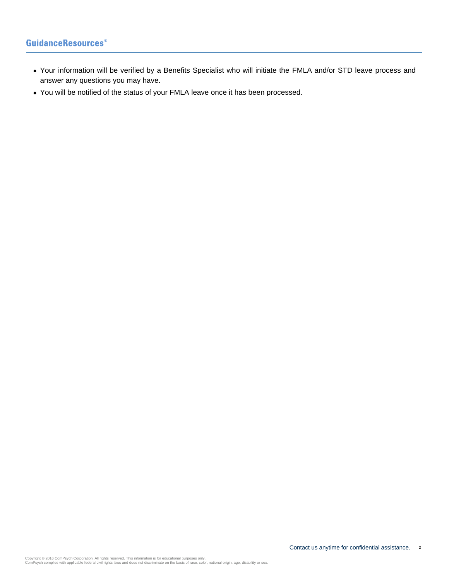# **GuidanceResources**

- Your information will be verified by a Benefits Specialist who will initiate the FMLA and/or STD leave process and answer any questions you may have.
- You will be notified of the status of your FMLA leave once it has been processed.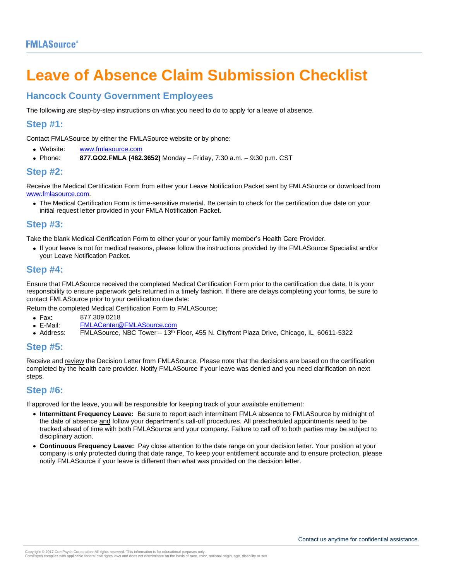# **Leave of Absence Claim Submission Checklist**

# **Hancock County Government Employees**

The following are step-by-step instructions on what you need to do to apply for a leave of absence.

# **Step #1:**

Contact FMLASource by either the FMLASource website or by phone:

- Website: [www.fmlasource.com](http://www.fmlasource.com/)
- Phone: **877.GO2.FMLA (462.3652)** Monday Friday, 7:30 a.m. 9:30 p.m. CST

# **Step #2:**

Receive the Medical Certification Form from either your Leave Notification Packet sent by FMLASource or download from [www.fmlasource.com.](http://www.fmlasource.com/)

• The Medical Certification Form is time-sensitive material. Be certain to check for the certification due date on your initial request letter provided in your FMLA Notification Packet.

# **Step #3:**

Take the blank Medical Certification Form to either your or your family member's Health Care Provider.

• If your leave is not for medical reasons, please follow the instructions provided by the FMLASource Specialist and/or your Leave Notification Packet.

# **Step #4:**

Ensure that FMLASource received the completed Medical Certification Form prior to the certification due date. It is your responsibility to ensure paperwork gets returned in a timely fashion. If there are delays completing your forms, be sure to contact FMLASource prior to your certification due date:

Return the completed Medical Certification Form to FMLASource:

- Fax: 877.309.0218<br>• E-Mail: EMLACenter@
- E-Mail: F<u>MLACenter@FMLASource.com</u><br>• Address: FMLASource. NBC Tower 13<sup>th</sup>
- Address: FMLASource, NBC Tower 13th Floor, 455 N. Cityfront Plaza Drive, Chicago, IL 60611-5322

## **Step #5:**

Receive and review the Decision Letter from FMLASource. Please note that the decisions are based on the certification completed by the health care provider. Notify FMLASource if your leave was denied and you need clarification on next steps.

# **Step #6:**

If approved for the leave, you will be responsible for keeping track of your available entitlement:

- **Intermittent Frequency Leave:** Be sure to report each intermittent FMLA absence to FMLASource by midnight of the date of absence and follow your department's call-off procedures. All prescheduled appointments need to be tracked ahead of time with both FMLASource and your company. Failure to call off to both parties may be subject to disciplinary action.
- **Continuous Frequency Leave:** Pay close attention to the date range on your decision letter. Your position at your company is only protected during that date range. To keep your entitlement accurate and to ensure protection, please notify FMLASource if your leave is different than what was provided on the decision letter.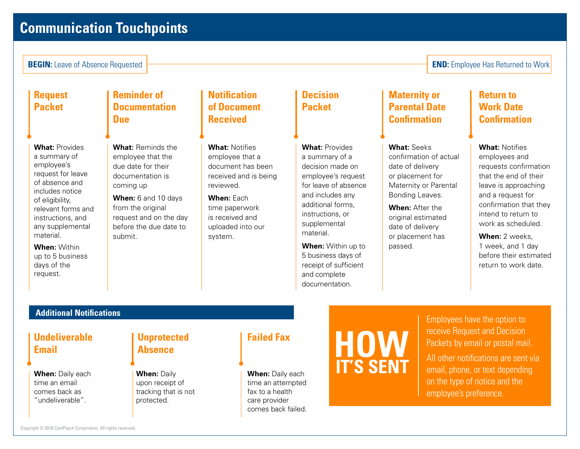# **Communication Touchpoints**

**BEGIN:** Leave of Absence Requested **END:** Employee Has Returned to Work

**Request Packet**

**What:** Provides a summary of employee's request for leave of absence and includes notice of eligibility, relevant forms and instructions, and any supplemental material.

**When:** Within up to 5 business days of the request.

# **Reminder of Documentation Due**

**What:** Reminds the employee that the due date for their documentation is coming up

**When:** 6 and 10 days from the original request and on the day before the due date to submit.

# **Notification of Document Received**

**What:** Notifies employee that a document has been received and is being reviewed.

**When:** Each time paperwork is received and uploaded into our system.

# **Decision Packet**

**What:** Provides a summary of a decision made on employee's request for leave of absence and includes any additional forms, instructions, or supplemental

**When:** Within up to 5 business days of receipt of sufficient and complete documentation.

material.

# **Maternity or Parental Date Confirmation**

## **What:** Seeks

confirmation of actual date of delivery or placement for Maternity or Parental Bonding Leaves.

**When:** After the original estimated date of delivery or placement has passed.

# **Return to Work Date Confirmation**

# **What:** Notifies

employees and requests confirmation that the end of their leave is approaching and a request for confirmation that they intend to return to work as scheduled.

**When:** 2 weeks, 1 week, and 1 day before their estimated return to work date.

# **Additional Notifications**

# **Undeliverable Email**

**When:** Daily each time an email comes back as "undeliverable".

# **Unprotected Absence**

**When:** Daily upon receipt of tracking that is not protected.

**When:** Daily each time an attempted fax to a health care provider comes back failed.



Employees have the option to receive Request and Decision Packets by email or postal mail. All other notifications are sent via email, phone, or text depending

on the type of notice and the

employee's preference.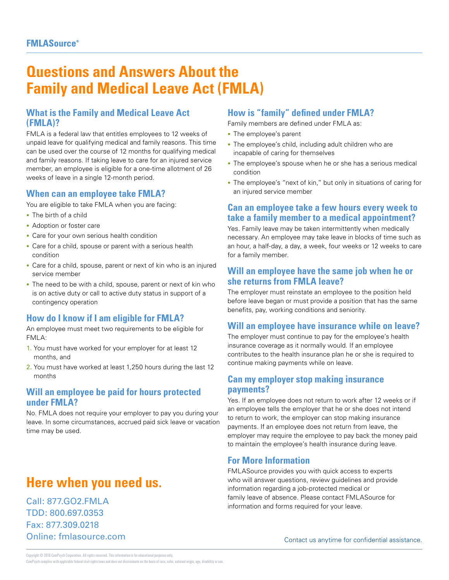# **Questions and Answers About the Family and Medical Leave Act (FMLA)**

# **What is the Family and Medical Leave Act (FMLA)?**

FMLA is a federal law that entitles employees to 12 weeks of unpaid leave for qualifying medical and family reasons. This time can be used over the course of 12 months for qualifying medical and family reasons. If taking leave to care for an injured service member, an employee is eligible for a one-time allotment of 26 weeks of leave in a single 12-month period.

# **When can an employee take FMLA?**

You are eligible to take FMLA when you are facing:

- The birth of a child
- Adoption or foster care
- Care for your own serious health condition
- Care for a child, spouse or parent with a serious health condition
- Care for a child, spouse, parent or next of kin who is an injured service member
- The need to be with a child, spouse, parent or next of kin who is on active duty or call to active duty status in support of a contingency operation

# **How do I know if I am eligible for FMLA?**

An employee must meet two requirements to be eligible for FMLA:

- 1. You must have worked for your employer for at least 12 months, and
- 2. You must have worked at least 1,250 hours during the last 12 months

# **Will an employee be paid for hours protected under FMLA?**

No. FMLA does not require your employer to pay you during your leave. In some circumstances, accrued paid sick leave or vacation time may be used.

# **Here when you need us.**

Call: 877.GO2.FMLA TDD: 800.697.0353 Fax: 877.309.0218 Online: fmlasource.com

# **How is "family" defined under FMLA?**

Family members are defined under FMLA as:

- The employee's parent
- The employee's child, including adult children who are incapable of caring for themselves
- The employee's spouse when he or she has a serious medical condition
- The employee's "next of kin," but only in situations of caring for an injured service member

# **Can an employee take a few hours every week to take a family member to a medical appointment?**

Yes. Family leave may be taken intermittently when medically necessary. An employee may take leave in blocks of time such as an hour, a half-day, a day, a week, four weeks or 12 weeks to care for a family member.

# **Will an employee have the same job when he or she returns from FMLA leave?**

The employer must reinstate an employee to the position held before leave began or must provide a position that has the same benefits, pay, working conditions and seniority.

# **Will an employee have insurance while on leave?**

The employer must continue to pay for the employee's health insurance coverage as it normally would. If an employee contributes to the health insurance plan he or she is required to continue making payments while on leave.

# **Can my employer stop making insurance payments?**

Yes. If an employee does not return to work after 12 weeks or if an employee tells the employer that he or she does not intend to return to work, the employer can stop making insurance payments. If an employee does not return from leave, the employer may require the employee to pay back the money paid to maintain the employee's health insurance during leave.

# **For More Information**

FMLASource provides you with quick access to experts who will answer questions, review guidelines and provide information regarding a job-protected medical or family leave of absence. Please contact FMLASource for information and forms required for your leave.